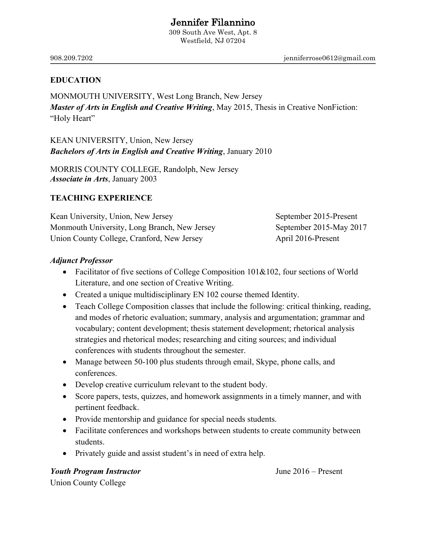# **Jennifer Filannino**<br>309 South Ave West, Apt. 8

Westfield, NJ 07204

908.209.7202 jenniferrose0612@gmail.com

### **EDUCATION**

MONMOUTH UNIVERSITY, West Long Branch, New Jersey *Master of Arts in English and Creative Writing*, May 2015, Thesis in Creative NonFiction: "Holy Heart"

KEAN UNIVERSITY, Union, New Jersey *Bachelors of Arts in English and Creative Writing*, January 2010

MORRIS COUNTY COLLEGE, Randolph, New Jersey *Associate in Arts*, January 2003

#### **TEACHING EXPERIENCE**

Kean University, Union, New Jersey September 2015-Present Monmouth University, Long Branch, New Jersey September 2015-May 2017 Union County College, Cranford, New Jersey April 2016-Present

### *Adjunct Professor*

- Facilitator of five sections of College Composition 101&102, four sections of World Literature, and one section of Creative Writing.
- Created a unique multidisciplinary EN 102 course themed Identity.
- Teach College Composition classes that include the following: critical thinking, reading, and modes of rhetoric evaluation; summary, analysis and argumentation; grammar and vocabulary; content development; thesis statement development; rhetorical analysis strategies and rhetorical modes; researching and citing sources; and individual conferences with students throughout the semester.
- Manage between 50-100 plus students through email, Skype, phone calls, and conferences.
- Develop creative curriculum relevant to the student body.
- Score papers, tests, quizzes, and homework assignments in a timely manner, and with pertinent feedback.
- Provide mentorship and guidance for special needs students.
- Facilitate conferences and workshops between students to create community between students.
- Privately guide and assist student's in need of extra help.

*Youth Program Instructor* June 2016 – Present Union County College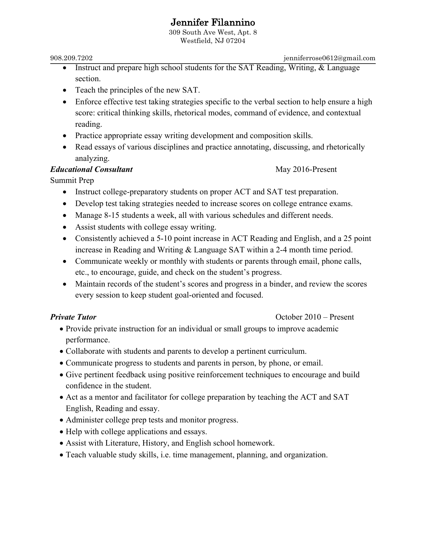# **Jennifer Filannino**<br>309 South Ave West, Apt. 8

Westfield, NJ 07204

908.209.7202 jenniferrose0612@gmail.com

- Instruct and prepare high school students for the SAT Reading, Writing, & Language section.
- Teach the principles of the new SAT.
- Enforce effective test taking strategies specific to the verbal section to help ensure a high score: critical thinking skills, rhetorical modes, command of evidence, and contextual reading.
- Practice appropriate essay writing development and composition skills.
- Read essays of various disciplines and practice annotating, discussing, and rhetorically analyzing.

## *Educational Consultant* May 2016-Present

Summit Prep

- Instruct college-preparatory students on proper ACT and SAT test preparation.
- Develop test taking strategies needed to increase scores on college entrance exams.
- Manage 8-15 students a week, all with various schedules and different needs.
- Assist students with college essay writing.
- Consistently achieved a 5-10 point increase in ACT Reading and English, and a 25 point increase in Reading and Writing & Language SAT within a 2-4 month time period.
- Communicate weekly or monthly with students or parents through email, phone calls, etc., to encourage, guide, and check on the student's progress.
- Maintain records of the student's scores and progress in a binder, and review the scores every session to keep student goal-oriented and focused.

### *Private Tutor* **October 2010** – Present

- Provide private instruction for an individual or small groups to improve academic performance.
- Collaborate with students and parents to develop a pertinent curriculum.
- Communicate progress to students and parents in person, by phone, or email.
- Give pertinent feedback using positive reinforcement techniques to encourage and build confidence in the student.
- Act as a mentor and facilitator for college preparation by teaching the ACT and SAT English, Reading and essay.
- Administer college prep tests and monitor progress.
- Help with college applications and essays.
- Assist with Literature, History, and English school homework.
- Teach valuable study skills, i.e. time management, planning, and organization.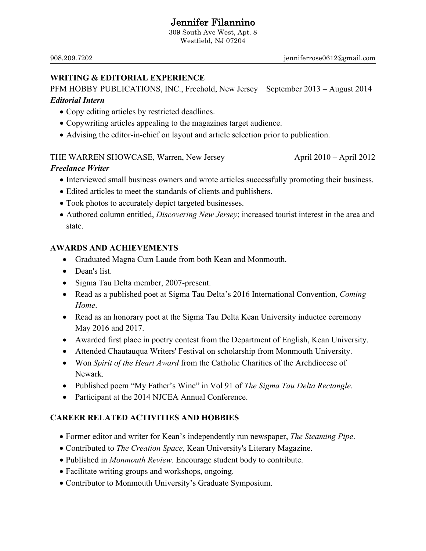# **Jennifer Filannino**<br>309 South Ave West, Apt. 8

Westfield, NJ 07204

### **WRITING & EDITORIAL EXPERIENCE**

PFM HOBBY PUBLICATIONS, INC., Freehold, New Jersey September 2013 – August 2014 *Editorial Intern*

- Copy editing articles by restricted deadlines.
- Copywriting articles appealing to the magazines target audience.
- Advising the editor-in-chief on layout and article selection prior to publication.

### THE WARREN SHOWCASE, Warren, New Jersey April 2010 – April 2012

### *Freelance Writer*

- Interviewed small business owners and wrote articles successfully promoting their business.
- Edited articles to meet the standards of clients and publishers.
- Took photos to accurately depict targeted businesses.
- Authored column entitled, *Discovering New Jersey*; increased tourist interest in the area and state.

### **AWARDS AND ACHIEVEMENTS**

- Graduated Magna Cum Laude from both Kean and Monmouth.
- Dean's list.
- Sigma Tau Delta member, 2007-present.
- Read as a published poet at Sigma Tau Delta's 2016 International Convention, *Coming Home*.
- Read as an honorary poet at the Sigma Tau Delta Kean University inductee ceremony May 2016 and 2017.
- Awarded first place in poetry contest from the Department of English, Kean University.
- Attended Chautauqua Writers' Festival on scholarship from Monmouth University.
- Won *Spirit of the Heart Award* from the Catholic Charities of the Archdiocese of Newark.
- Published poem "My Father's Wine" in Vol 91 of *The Sigma Tau Delta Rectangle.*
- Participant at the 2014 NJCEA Annual Conference.

### **CAREER RELATED ACTIVITIES AND HOBBIES**

- Former editor and writer for Kean's independently run newspaper, *The Steaming Pipe*.
- Contributed to *The Creation Space*, Kean University's Literary Magazine.
- Published in *Monmouth Review*. Encourage student body to contribute.
- Facilitate writing groups and workshops, ongoing.
- Contributor to Monmouth University's Graduate Symposium.